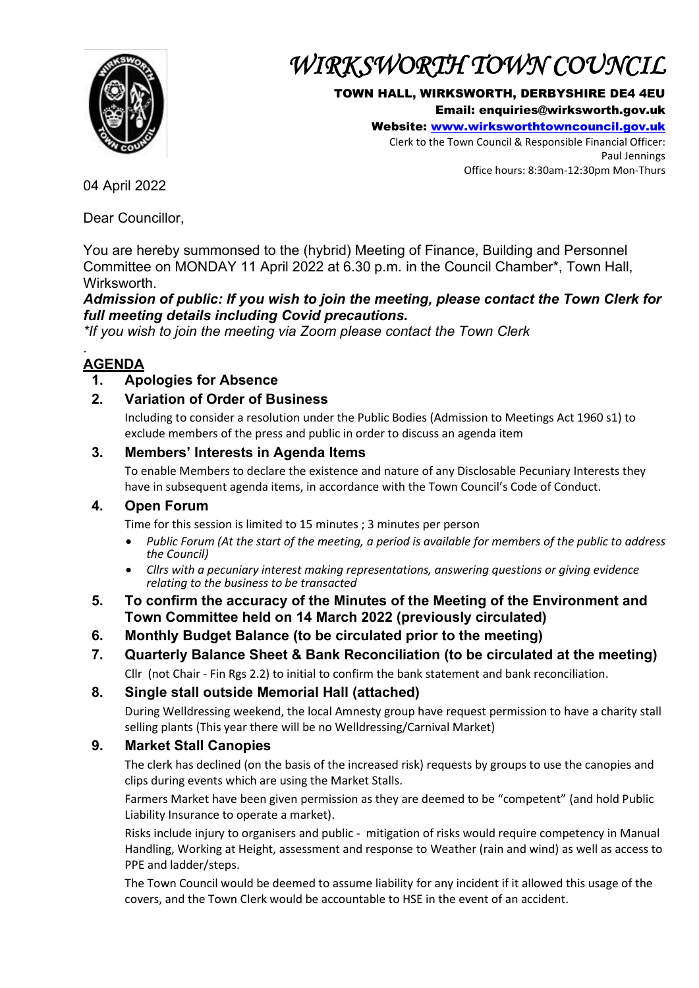

# *WIRKSWORTH TOWN COUNCIL*

### TOWN HALL, WIRKSWORTH, DERBYSHIRE DE4 4EU

Email: enquiries@wirksworth.gov.uk

Website: [www.wirksworthtowncouncil.gov.uk](http://www.wirksworthtowncouncil.gov.uk/)

Clerk to the Town Council & Responsible Financial Officer: Paul Jennings Office hours: 8:30am-12:30pm Mon-Thurs

04 April 2022

Dear Councillor,

You are hereby summonsed to the (hybrid) Meeting of Finance, Building and Personnel Committee on MONDAY 11 April 2022 at 6.30 p.m. in the Council Chamber\*, Town Hall, Wirksworth.

*Admission of public: If you wish to join the meeting, please contact the Town Clerk for full meeting details including Covid precautions.*

*\*If you wish to join the meeting via Zoom please contact the Town Clerk*

#### *.*  **AGENDA**

# **1. Apologies for Absence**

## **2. Variation of Order of Business**

Including to consider a resolution under the Public Bodies (Admission to Meetings Act 1960 s1) to exclude members of the press and public in order to discuss an agenda item

## **3. Members' Interests in Agenda Items**

To enable Members to declare the existence and nature of any Disclosable Pecuniary Interests they have in subsequent agenda items, in accordance with the Town Council's Code of Conduct.

## **4. Open Forum**

Time for this session is limited to 15 minutes ; 3 minutes per person

- *Public Forum (At the start of the meeting, a period is available for members of the public to address the Council)*
- *Cllrs with a pecuniary interest making representations, answering questions or giving evidence relating to the business to be transacted*
- **5. To confirm the accuracy of the Minutes of the Meeting of the Environment and Town Committee held on 14 March 2022 (previously circulated)**
- **6. Monthly Budget Balance (to be circulated prior to the meeting)**
- **7. Quarterly Balance Sheet & Bank Reconciliation (to be circulated at the meeting)**  Cllr (not Chair - Fin Rgs 2.2) to initial to confirm the bank statement and bank reconciliation.

# **8. Single stall outside Memorial Hall (attached)**

During Welldressing weekend, the local Amnesty group have request permission to have a charity stall selling plants (This year there will be no Welldressing/Carnival Market)

# **9. Market Stall Canopies**

The clerk has declined (on the basis of the increased risk) requests by groups to use the canopies and clips during events which are using the Market Stalls.

Farmers Market have been given permission as they are deemed to be "competent" (and hold Public Liability Insurance to operate a market).

Risks include injury to organisers and public - mitigation of risks would require competency in Manual Handling, Working at Height, assessment and response to Weather (rain and wind) as well as access to PPE and ladder/steps.

The Town Council would be deemed to assume liability for any incident if it allowed this usage of the covers, and the Town Clerk would be accountable to HSE in the event of an accident.